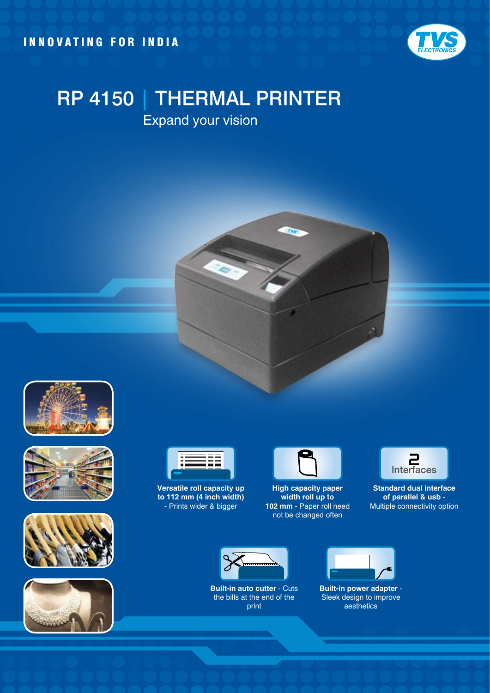INNOVATING FOR INDIA



## RP 4150 | THERMAL PRINTER

Expand your vision













**Versatile roll capacity up to 112 mm (4 inch width)** - Prints wider & bigger



**High capacity paper width roll up to 102 mm** - Paper roll need not be changed often



**Standard dual interface of parallel & usb** - Multiple connectivity option



**Built-in auto cutter** - Cuts the bills at the end of the print



**Built-in power adapter** - Sleek design to improve aesthetics